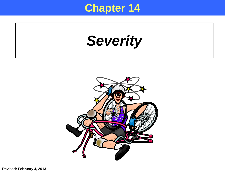## **Chapter 14**

*Severity*

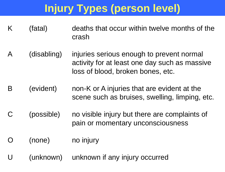# **Injury Types (person level)**

- K (fatal) deaths that occur within twelve months of the crash
- A (disabling) injuries serious enough to prevent normal activity for at least one day such as massive loss of blood, broken bones, etc.
- B (evident) non-K or A injuries that are evident at the scene such as bruises, swelling, limping, etc.
- C (possible) no visible injury but there are complaints of pain or momentary unconsciousness
- (none) no injury
- U (unknown) unknown if any injury occurred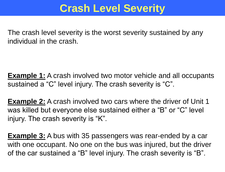### **Crash Level Severity**

The crash level severity is the worst severity sustained by any individual in the crash.

**Example 1:** A crash involved two motor vehicle and all occupants sustained a "C" level injury. The crash severity is "C".

**Example 2:** A crash involved two cars where the driver of Unit 1 was killed but everyone else sustained either a "B" or "C" level injury. The crash severity is "K".

**Example 3:** A bus with 35 passengers was rear-ended by a car with one occupant. No one on the bus was injured, but the driver of the car sustained a "B" level injury. The crash severity is "B".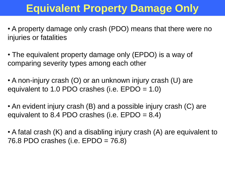## **Equivalent Property Damage Only**

• A property damage only crash (PDO) means that there were no injuries or fatalities

• The equivalent property damage only (EPDO) is a way of comparing severity types among each other

• A non-injury crash (O) or an unknown injury crash (U) are equivalent to 1.0 PDO crashes (i.e. EPDO = 1.0)

• An evident injury crash (B) and a possible injury crash (C) are equivalent to 8.4 PDO crashes (i.e.  $E$ PDO = 8.4)

• A fatal crash (K) and a disabling injury crash (A) are equivalent to 76.8 PDO crashes (i.e. EPDO = 76.8)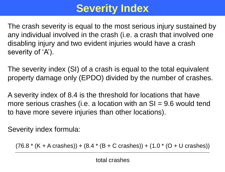# **Severity Index**

The crash severity is equal to the most serious injury sustained by any individual involved in the crash (i.e. a crash that involved one disabling injury and two evident injuries would have a crash severity of 'A').

The severity index (SI) of a crash is equal to the total equivalent property damage only (EPDO) divided by the number of crashes.

A severity index of 8.4 is the threshold for locations that have more serious crashes (i.e. a location with an  $SI = 9.6$  would tend to have more severe injuries than other locations).

Severity index formula:

 $(76.8 * (K + A \text{ crashes})) + (8.4 * (B + C \text{ crashes})) + (1.0 * (O + U \text{ crashes}))$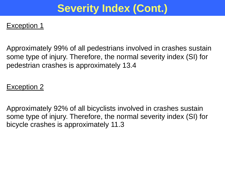## **Severity Index (Cont.)**

#### Exception 1

Approximately 99% of all pedestrians involved in crashes sustain some type of injury. Therefore, the normal severity index (SI) for pedestrian crashes is approximately 13.4

#### Exception 2

Approximately 92% of all bicyclists involved in crashes sustain some type of injury. Therefore, the normal severity index (SI) for bicycle crashes is approximately 11.3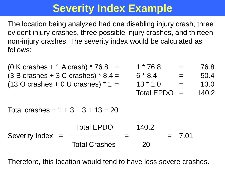## **Severity Index Example**

The location being analyzed had one disabling injury crash, three evident injury crashes, three possible injury crashes, and thirteen non-injury crashes. The severity index would be calculated as follows:

| $(0 K crashes + 1 A crash) * 76.8 =$                 |                      |  | $1 * 76.8$        |      | 76.8  |
|------------------------------------------------------|----------------------|--|-------------------|------|-------|
| $(3 B crashes + 3 C crashes) * 8.4 =$                |                      |  | $6 * 8.4$         |      | 50.4  |
| $(13 \text{ O crashes} + 0 \text{ U crashes})$ * 1 = |                      |  | $13 * 1.0$        | $=$  | 13.0  |
|                                                      |                      |  | <b>Total EPDO</b> |      | 140.2 |
| Total crashes = $1 + 3 + 3 + 13 = 20$                |                      |  |                   |      |       |
|                                                      | <b>Total EPDO</b>    |  | 140.2             | 7.01 |       |
| <b>Severity Index</b>                                | <b>Total Crashes</b> |  | 20                |      |       |

Therefore, this location would tend to have less severe crashes.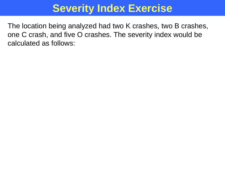## **Severity Index Exercise**

The location being analyzed had two K crashes, two B crashes, one C crash, and five O crashes. The severity index would be calculated as follows: